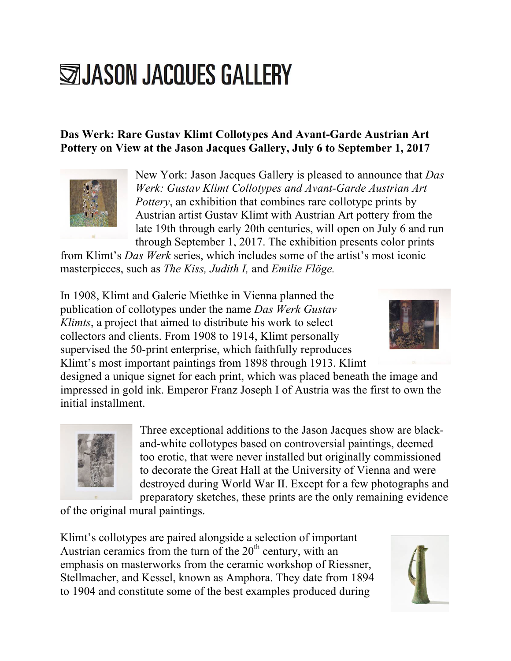## **SIJASON JACQUES GALLERY**

## **Das Werk: Rare Gustav Klimt Collotypes And Avant-Garde Austrian Art Pottery on View at the Jason Jacques Gallery, July 6 to September 1, 2017**



New York: Jason Jacques Gallery is pleased to announce that *Das Werk: Gustav Klimt Collotypes and Avant-Garde Austrian Art Pottery*, an exhibition that combines rare collotype prints by Austrian artist Gustav Klimt with Austrian Art pottery from the late 19th through early 20th centuries, will open on July 6 and run through September 1, 2017. The exhibition presents color prints

from Klimt's *Das Werk* series, which includes some of the artist's most iconic masterpieces, such as *The Kiss, Judith I,* and *Emilie Flöge.*

In 1908, Klimt and Galerie Miethke in Vienna planned the publication of collotypes under the name *Das Werk Gustav Klimts*, a project that aimed to distribute his work to select collectors and clients. From 1908 to 1914, Klimt personally supervised the 50-print enterprise, which faithfully reproduces Klimt's most important paintings from 1898 through 1913. Klimt



designed a unique signet for each print, which was placed beneath the image and impressed in gold ink. Emperor Franz Joseph I of Austria was the first to own the initial installment.



Three exceptional additions to the Jason Jacques show are blackand-white collotypes based on controversial paintings, deemed too erotic, that were never installed but originally commissioned to decorate the Great Hall at the University of Vienna and were destroyed during World War II. Except for a few photographs and preparatory sketches, these prints are the only remaining evidence

of the original mural paintings.

Klimt's collotypes are paired alongside a selection of important Austrian ceramics from the turn of the  $20<sup>th</sup>$  century, with an emphasis on masterworks from the ceramic workshop of Riessner, Stellmacher, and Kessel, known as Amphora. They date from 1894 to 1904 and constitute some of the best examples produced during

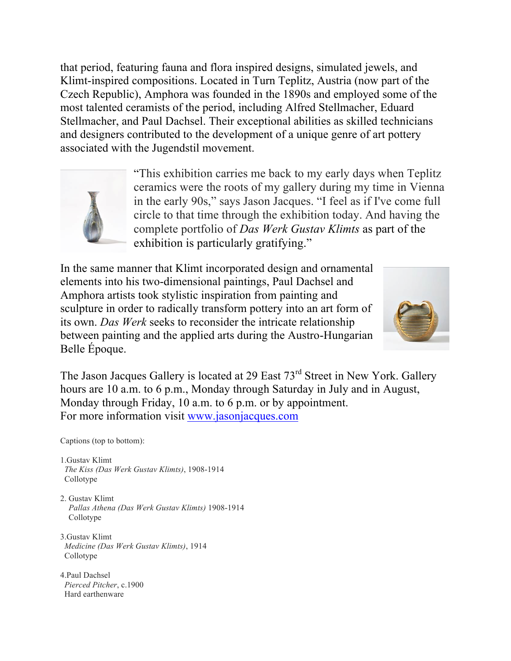that period, featuring fauna and flora inspired designs, simulated jewels, and Klimt-inspired compositions. Located in Turn Teplitz, Austria (now part of the Czech Republic), Amphora was founded in the 1890s and employed some of the most talented ceramists of the period, including Alfred Stellmacher, Eduard Stellmacher, and Paul Dachsel. Their exceptional abilities as skilled technicians and designers contributed to the development of a unique genre of art pottery associated with the Jugendstil movement.



"This exhibition carries me back to my early days when Teplitz ceramics were the roots of my gallery during my time in Vienna in the early 90s," says Jason Jacques. "I feel as if I've come full circle to that time through the exhibition today. And having the complete portfolio of *Das Werk Gustav Klimts* as part of the exhibition is particularly gratifying."

In the same manner that Klimt incorporated design and ornamental elements into his two-dimensional paintings, Paul Dachsel and Amphora artists took stylistic inspiration from painting and sculpture in order to radically transform pottery into an art form of its own. *Das Werk* seeks to reconsider the intricate relationship between painting and the applied arts during the Austro-Hungarian Belle Époque.



The Jason Jacques Gallery is located at 29 East 73<sup>rd</sup> Street in New York. Gallery hours are 10 a.m. to 6 p.m., Monday through Saturday in July and in August, Monday through Friday, 10 a.m. to 6 p.m. or by appointment. For more information visit www.jasonjacques.com

Captions (top to bottom):

- 1.Gustav Klimt *The Kiss (Das Werk Gustav Klimts)*, 1908-1914 Collotype
- 2. Gustav Klimt *Pallas Athena (Das Werk Gustav Klimts)* 1908-1914 Collotype
- 3.Gustav Klimt *Medicine (Das Werk Gustav Klimts)*, 1914 Collotype
- 4.Paul Dachsel *Pierced Pitcher*, c.1900 Hard earthenware